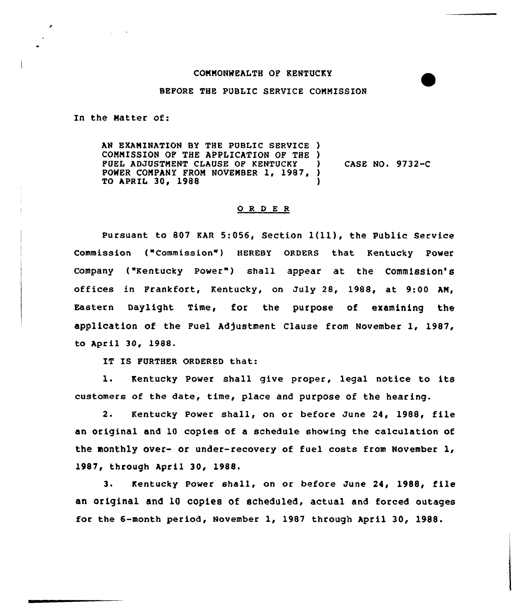## COMMONWEALTH OF KENTUCKY

## BEFORE THE PUBLIC SERVICE COMMISSION

In the Matter of:

AN EXAMINATION BY THE PUBLIC SERVICE ) COMMISSION OP THE APPLICATION OP THE ) FUEL ADJUSTMENT CLAUSE OP KENTUCKY POWER COMPANY FROM NOVEMBER 1, 1987, TO APRIL 30, 1988 ) CASE NO. 9732-C )

## 0 <sup>R</sup> <sup>D</sup> E <sup>R</sup>

Pursuant to <sup>807</sup> KAR 5:056, Section l(ll), the Public Service Commission ("Commission") HEREBY ORDERS that Kentucky Power Company ("Kentucky Power") shall appear at the Commission's offices in Frankfort, Kentucky, on July 28, 1988, at 9:00 AM, Eastern Daylight Time, for the purpose of examining the application of the Fuel Adjustment Clause from November 1, 1987, to April 30, 1988.

IT IS FURTHER ORDERED that:

l. Kentucky Power shall give proper, legal notice to its customers of the date, time, place and purpose of the hearing.

2. Kentucky Power shall, on or before June 24, 1988, file an original and 10 copies of a schedule showing the calculation of the monthly over- or under-recovery of fuel costs from November 1, 1987, through April 30, 1988.

3. Kentucky Power shall, on or before June 24, 1988, file an original and 10 copies of scheduled, actual and forced outages for the 6-month period, November 1, 1987 through April 30, 1988.